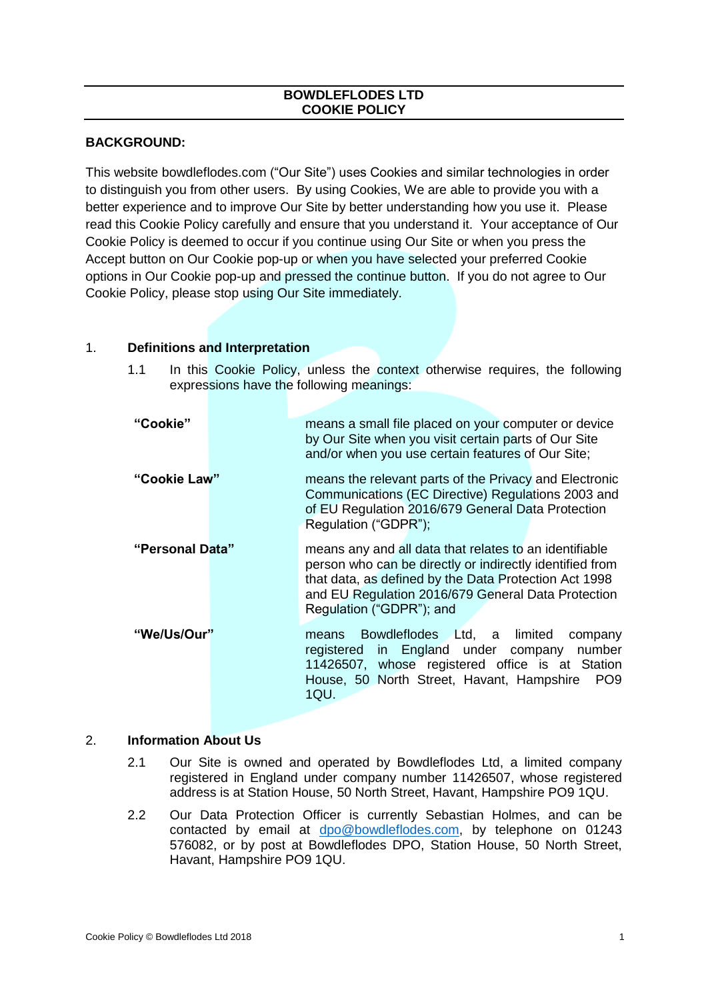## **BOWDLEFLODES LTD COOKIE POLICY**

# **BACKGROUND:**

This website bowdleflodes.com ("Our Site") uses Cookies and similar technologies in order to distinguish you from other users. By using Cookies, We are able to provide you with a better experience and to improve Our Site by better understanding how you use it. Please read this Cookie Policy carefully and ensure that you understand it. Your acceptance of Our Cookie Policy is deemed to occur if you continue using Our Site or when you press the Accept button on Our Cookie pop-up or when you have selected your preferred Cookie options in Our Cookie pop-up and pressed the continue button. If you do not agree to Our Cookie Policy, please stop using Our Site immediately.

# 1. **Definitions and Interpretation**

- **"Cookie"** means a small file placed on your computer or device by Our Site when you visit certain parts of Our Site and/or when you use certain features of Our Site; **"Cookie Law"** means the relevant parts of the Privacy and Electronic Communications (EC Directive) Regulations 2003 and of EU Regulation 2016/679 General Data Protection Regulation ("GDPR"); **"Personal Data"** means any and all data that relates to an identifiable person who can be directly or indirectly identified from that data, as defined by the Data Protection Act 1998 and EU Regulation 2016/679 General Data Protection Regulation ("GDPR"); and **"We/Us/Our"** means Bowdleflodes Ltd, a limited company registered in England under company number 11426507, whose registered office is at Station House, 50 North Street, Havant, Hampshire PO9 1QU.
- 1.1 In this Cookie Policy, unless the context otherwise requires, the following expressions have the following meanings:

## 2. **Information About Us**

- 2.1 Our Site is owned and operated by Bowdleflodes Ltd, a limited company registered in England under company number 11426507, whose registered address is at Station House, 50 North Street, Havant, Hampshire PO9 1QU.
- 2.2 Our Data Protection Officer is currently Sebastian Holmes, and can be contacted by email at [dpo@bowdleflodes.com,](mailto:dpo@bowdleflodes.com) by telephone on 01243 576082, or by post at Bowdleflodes DPO, Station House, 50 North Street, Havant, Hampshire PO9 1QU.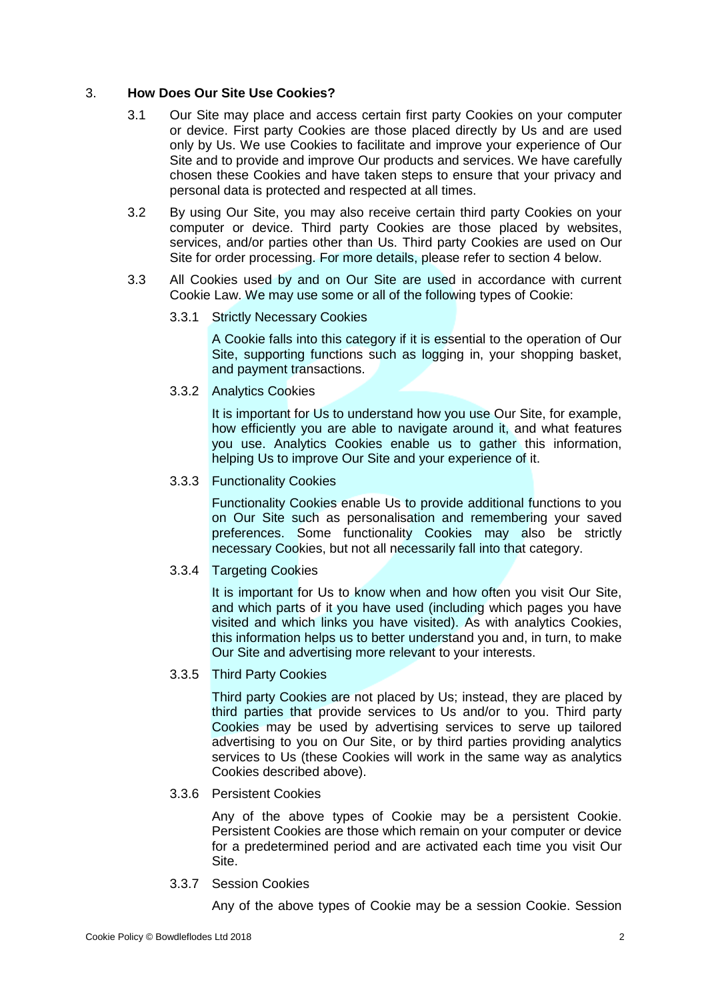#### 3. **How Does Our Site Use Cookies?**

- 3.1 Our Site may place and access certain first party Cookies on your computer or device. First party Cookies are those placed directly by Us and are used only by Us. We use Cookies to facilitate and improve your experience of Our Site and to provide and improve Our products and services. We have carefully chosen these Cookies and have taken steps to ensure that your privacy and personal data is protected and respected at all times.
- 3.2 By using Our Site, you may also receive certain third party Cookies on your computer or device. Third party Cookies are those placed by websites, services, and/or parties other than Us. Third party Cookies are used on Our Site for order processing. For more details, please refer to section 4 below.
- 3.3 All Cookies used by and on Our Site are used in accordance with current Cookie Law. We may use some or all of the following types of Cookie:
	- 3.3.1 Strictly Necessary Cookies

A Cookie falls into this category if it is essential to the operation of Our Site, supporting functions such as logging in, your shopping basket, and payment transactions.

3.3.2 Analytics Cookies

It is important for Us to understand how you use Our Site, for example, how efficiently you are able to navigate around it, and what features you use. Analytics Cookies enable us to gather this information, helping Us to improve Our Site and your experience of it.

#### 3.3.3 Functionality Cookies

Functionality Cookies enable Us to provide additional functions to you on Our Site such as personalisation and remembering your saved preferences. Some functionality Cookies may also be strictly necessary Cookies, but not all necessarily fall into that category.

## 3.3.4 Targeting Cookies

It is important for Us to know when and how often you visit Our Site, and which parts of it you have used (including which pages you have visited and which links you have visited). As with analytics Cookies, this information helps us to better understand you and, in turn, to make Our Site and advertising more relevant to your interests.

## 3.3.5 Third Party Cookies

Third party Cookies are not placed by Us; instead, they are placed by third parties that provide services to Us and/or to you. Third party Cookies may be used by advertising services to serve up tailored advertising to you on Our Site, or by third parties providing analytics services to Us (these Cookies will work in the same way as analytics Cookies described above).

## 3.3.6 Persistent Cookies

Any of the above types of Cookie may be a persistent Cookie. Persistent Cookies are those which remain on your computer or device for a predetermined period and are activated each time you visit Our Site.

3.3.7 Session Cookies

Any of the above types of Cookie may be a session Cookie. Session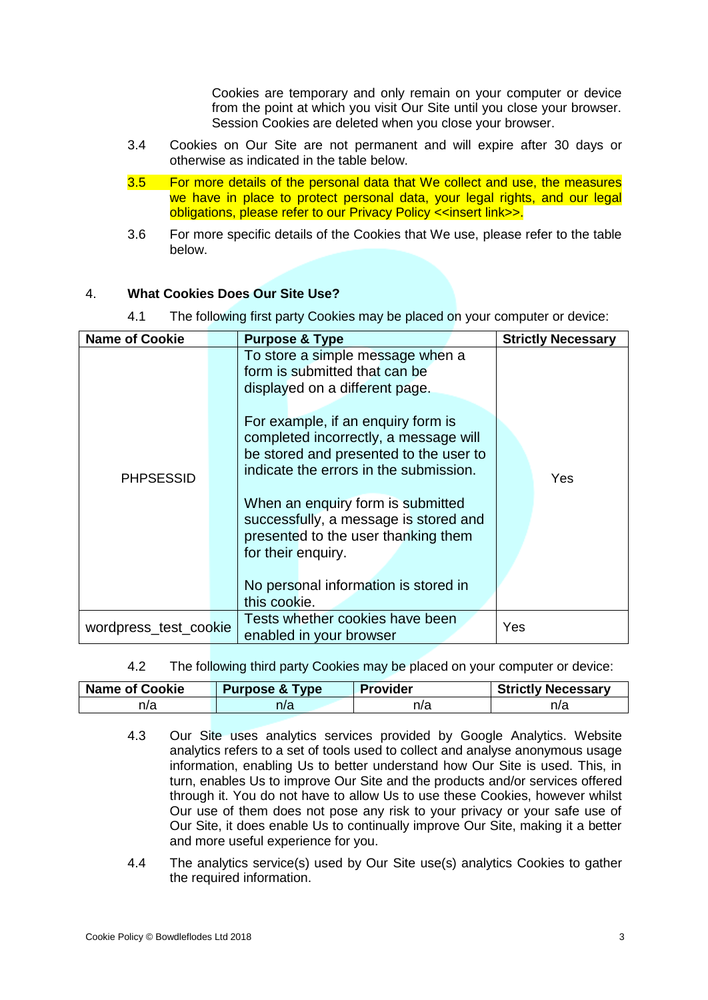Cookies are temporary and only remain on your computer or device from the point at which you visit Our Site until you close your browser. Session Cookies are deleted when you close your browser.

- 3.4 Cookies on Our Site are not permanent and will expire after 30 days or otherwise as indicated in the table below.
- 3.5 For more details of the personal data that We collect and use, the measures we have in place to protect personal data, your legal rights, and our legal obligations, please refer to our Privacy Policy <<insert link>>.
- 3.6 For more specific details of the Cookies that We use, please refer to the table below.

#### 4. **What Cookies Does Our Site Use?**

4.1 The following first party Cookies may be placed on your computer or device:

| <b>Name of Cookie</b> | <b>Purpose &amp; Type</b>                                                                                                                                                       |  | <b>Strictly Necessary</b> |
|-----------------------|---------------------------------------------------------------------------------------------------------------------------------------------------------------------------------|--|---------------------------|
| <b>PHPSESSID</b>      | To store a simple message when a<br>form is submitted that can be<br>displayed on a different page.                                                                             |  |                           |
|                       | For example, if an enquiry form is<br>completed incorrectly, a message will<br>be stored and presented to the user to<br>indicate the errors in the submission.                 |  | Yes                       |
|                       | When an enquiry form is submitted<br>successfully, a message is stored and<br>presented to the user thanking them<br>for their enquiry.<br>No personal information is stored in |  |                           |
|                       | this cookie.                                                                                                                                                                    |  |                           |
| wordpress_test_cookie | Tests whether cookies have been<br>enabled in your browser                                                                                                                      |  | Yes                       |

4.2 The following third party Cookies may be placed on your computer or device:

| <b>Name of Cookie</b> | <b>Purpose &amp; Type</b> | <b>Provider</b> | <b>Strictly Necessary</b> |
|-----------------------|---------------------------|-----------------|---------------------------|
| n/a                   | n/a                       | n/a             | n/a                       |

- 4.3 Our Site uses analytics services provided by Google Analytics. Website analytics refers to a set of tools used to collect and analyse anonymous usage information, enabling Us to better understand how Our Site is used. This, in turn, enables Us to improve Our Site and the products and/or services offered through it. You do not have to allow Us to use these Cookies, however whilst Our use of them does not pose any risk to your privacy or your safe use of Our Site, it does enable Us to continually improve Our Site, making it a better and more useful experience for you.
- 4.4 The analytics service(s) used by Our Site use(s) analytics Cookies to gather the required information.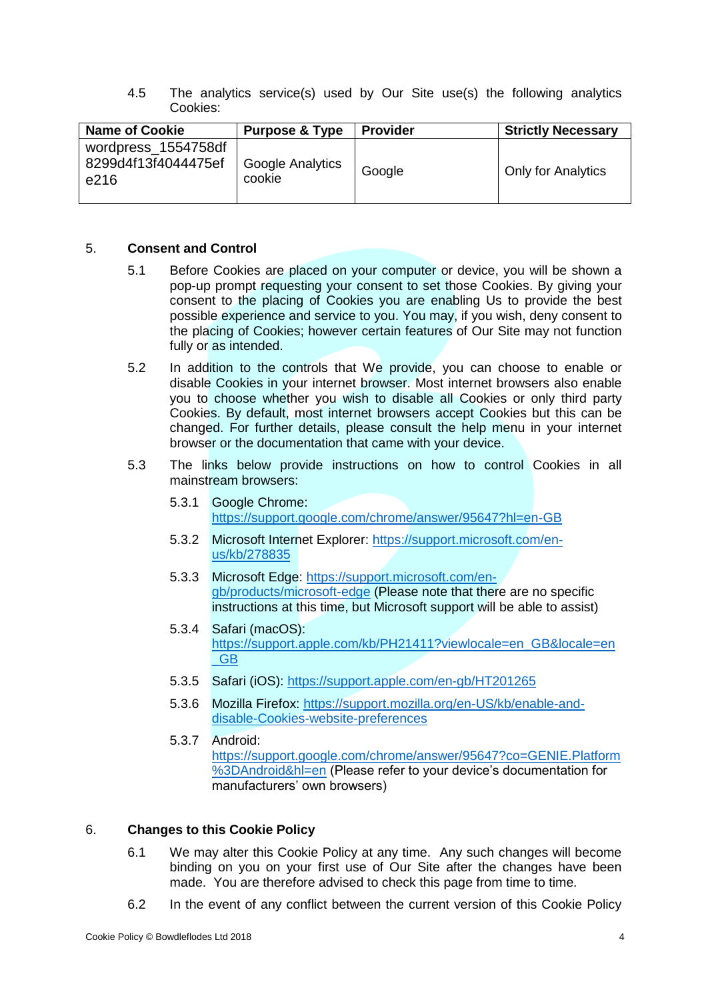4.5 The analytics service(s) used by Our Site use(s) the following analytics Cookies:

| <b>Name of Cookie</b>                              | <b>Purpose &amp; Type</b>  | <b>Provider</b> | <b>Strictly Necessary</b> |
|----------------------------------------------------|----------------------------|-----------------|---------------------------|
| wordpress_1554758df<br>8299d4f13f4044475ef<br>e216 | Google Analytics<br>cookie | Google          | <b>Only for Analytics</b> |

#### 5. **Consent and Control**

- 5.1 Before Cookies are placed on your computer or device, you will be shown a pop-up prompt requesting your consent to set those Cookies. By giving your consent to the placing of Cookies you are enabling Us to provide the best possible experience and service to you. You may, if you wish, deny consent to the placing of Cookies; however certain features of Our Site may not function fully or as intended.
- 5.2 In addition to the controls that We provide, you can choose to enable or disable Cookies in your internet browser. Most internet browsers also enable you to choose whether you wish to disable all Cookies or only third party Cookies. By default, most internet browsers accept Cookies but this can be changed. For further details, please consult the help menu in your internet browser or the documentation that came with your device.
- 5.3 The links below provide instructions on how to control Cookies in all mainstream browsers:
	- 5.3.1 Google Chrome: <https://support.google.com/chrome/answer/95647?hl=en-GB>
	- 5.3.2 Microsoft Internet Explorer: [https://support.microsoft.com/en](https://support.microsoft.com/en-us/kb/278835)[us/kb/278835](https://support.microsoft.com/en-us/kb/278835)
	- 5.3.3 Microsoft Edge: [https://support.microsoft.com/en](https://support.microsoft.com/en-gb/products/microsoft-edge)[gb/products/microsoft-edge](https://support.microsoft.com/en-gb/products/microsoft-edge) (Please note that there are no specific instructions at this time, but Microsoft support will be able to assist)
	- 5.3.4 Safari (macOS): [https://support.apple.com/kb/PH21411?viewlocale=en\\_GB&locale=en](https://support.apple.com/kb/PH21411?viewlocale=en_GB&locale=en_GB) [\\_GB](https://support.apple.com/kb/PH21411?viewlocale=en_GB&locale=en_GB)
	- 5.3.5 Safari (iOS):<https://support.apple.com/en-gb/HT201265>
	- 5.3.6 Mozilla Firefox: [https://support.mozilla.org/en-US/kb/enable-and](https://support.mozilla.org/en-US/kb/enable-and-disable-cookies-website-preferences)[disable-Cookies-website-preferences](https://support.mozilla.org/en-US/kb/enable-and-disable-cookies-website-preferences)
	- 5.3.7 Android: [https://support.google.com/chrome/answer/95647?co=GENIE.Platform](https://support.google.com/chrome/answer/95647?co=GENIE.Platform%3DAndroid&hl=en) [%3DAndroid&hl=en](https://support.google.com/chrome/answer/95647?co=GENIE.Platform%3DAndroid&hl=en) (Please refer to your device's documentation for manufacturers' own browsers)

## 6. **Changes to this Cookie Policy**

- 6.1 We may alter this Cookie Policy at any time. Any such changes will become binding on you on your first use of Our Site after the changes have been made. You are therefore advised to check this page from time to time.
- 6.2 In the event of any conflict between the current version of this Cookie Policy